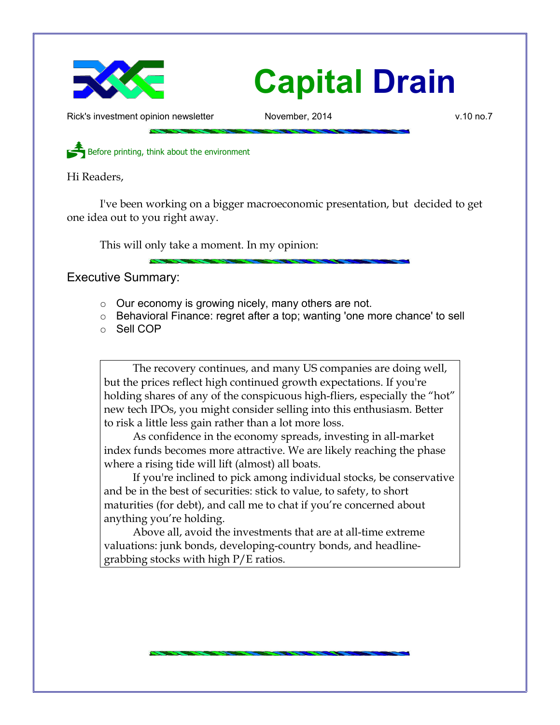

## **Capital Drain**

Rick's investment opinion newsletter November, 2014 and November, 2014 v.10 no.7

Before printing, think about the environment

Hi Readers,

I've been working on a bigger macroeconomic presentation, but decided to get one idea out to you right away.

This will only take a moment. In my opinion:

Executive Summary:

- Our economy is growing nicely, many others are not.
- Behavioral Finance: regret after a top; wanting 'one more chance' to sell
- Sell COP

The recovery continues, and many US companies are doing well, but the prices reflect high continued growth expectations. If you're holding shares of any of the conspicuous high-fliers, especially the "hot" new tech IPOs, you might consider selling into this enthusiasm. Better to risk a little less gain rather than a lot more loss.

As confidence in the economy spreads, investing in all-market index funds becomes more attractive. We are likely reaching the phase where a rising tide will lift (almost) all boats.

If you're inclined to pick among individual stocks, be conservative and be in the best of securities: stick to value, to safety, to short maturities (for debt), and call me to chat if you're concerned about anything you're holding.

Above all, avoid the investments that are at all-time extreme valuations: junk bonds, developing-country bonds, and headlinegrabbing stocks with high P/E ratios.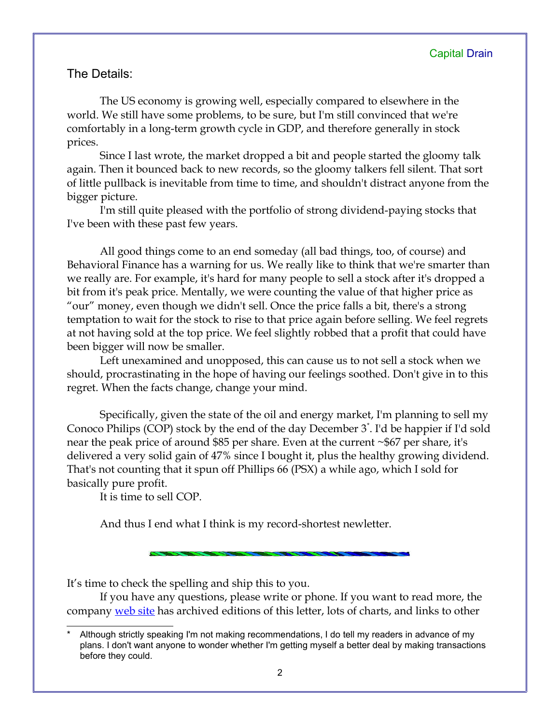## The Details:

The US economy is growing well, especially compared to elsewhere in the world. We still have some problems, to be sure, but I'm still convinced that we're comfortably in a long-term growth cycle in GDP, and therefore generally in stock prices.

Since I last wrote, the market dropped a bit and people started the gloomy talk again. Then it bounced back to new records, so the gloomy talkers fell silent. That sort of little pullback is inevitable from time to time, and shouldn't distract anyone from the bigger picture.

I'm still quite pleased with the portfolio of strong dividend-paying stocks that I've been with these past few years.

All good things come to an end someday (all bad things, too, of course) and Behavioral Finance has a warning for us. We really like to think that we're smarter than we really are. For example, it's hard for many people to sell a stock after it's dropped a bit from it's peak price. Mentally, we were counting the value of that higher price as "our" money, even though we didn't sell. Once the price falls a bit, there's a strong temptation to wait for the stock to rise to that price again before selling. We feel regrets at not having sold at the top price. We feel slightly robbed that a profit that could have been bigger will now be smaller.

Left unexamined and unopposed, this can cause us to not sell a stock when we should, procrastinating in the hope of having our feelings soothed. Don't give in to this regret. When the facts change, change your mind.

Specifically, given the state of the oil and energy market, I'm planning to sell my Conoco Philips (COP) stock by the end of the day December 3[\\*](#page-1-0) . I'd be happier if I'd sold near the peak price of around \$85 per share. Even at the current ~\$67 per share, it's delivered a very solid gain of 47% since I bought it, plus the healthy growing dividend. That's not counting that it spun off Phillips 66 (PSX) a while ago, which I sold for basically pure profit.

It is time to sell COP.

And thus I end what I think is my record-shortest newletter.

It's time to check the spelling and ship this to you.

If you have any questions, please write or phone. If you want to read more, the company [web site](http://www.LongspliceInvest.com/newsletter.shtml) has archived editions of this letter, lots of charts, and links to other

<span id="page-1-0"></span>Although strictly speaking I'm not making recommendations, I do tell my readers in advance of my plans. I don't want anyone to wonder whether I'm getting myself a better deal by making transactions before they could.